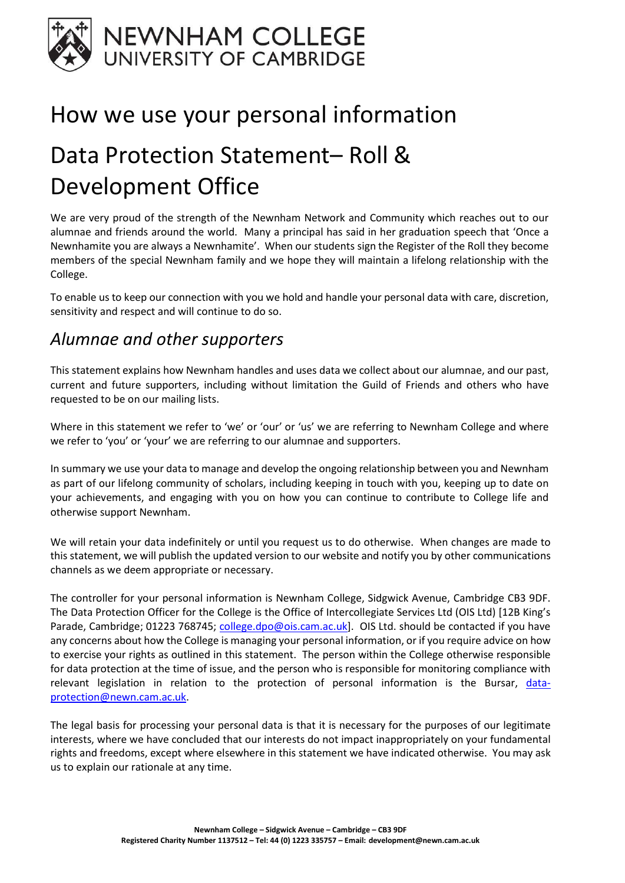

## How we use your personal information

# Data Protection Statement– Roll & Development Office

We are very proud of the strength of the Newnham Network and Community which reaches out to our alumnae and friends around the world. Many a principal has said in her graduation speech that 'Once a Newnhamite you are always a Newnhamite'. When our students sign the Register of the Roll they become members of the special Newnham family and we hope they will maintain a lifelong relationship with the College.

To enable us to keep our connection with you we hold and handle your personal data with care, discretion, sensitivity and respect and will continue to do so.

### Alumnae and other supporters

This statement explains how Newnham handles and uses data we collect about our alumnae, and our past, current and future supporters, including without limitation the Guild of Friends and others who have requested to be on our mailing lists.

Where in this statement we refer to 'we' or 'our' or 'us' we are referring to Newnham College and where we refer to 'you' or 'your' we are referring to our alumnae and supporters.

In summary we use your data to manage and develop the ongoing relationship between you and Newnham as part of our lifelong community of scholars, including keeping in touch with you, keeping up to date on your achievements, and engaging with you on how you can continue to contribute to College life and otherwise support Newnham.

We will retain your data indefinitely or until you request us to do otherwise. When changes are made to this statement, we will publish the updated version to our website and notify you by other communications channels as we deem appropriate or necessary.

The controller for your personal information is Newnham College, Sidgwick Avenue, Cambridge CB3 9DF. The Data Protection Officer for the College is the Office of Intercollegiate Services Ltd (OIS Ltd) [12B King's Parade, Cambridge; 01223 768745; college.dpo@ois.cam.ac.uk]. OIS Ltd. should be contacted if you have any concerns about how the College is managing your personal information, or if you require advice on how to exercise your rights as outlined in this statement. The person within the College otherwise responsible for data protection at the time of issue, and the person who is responsible for monitoring compliance with relevant legislation in relation to the protection of personal information is the Bursar, dataprotection@newn.cam.ac.uk.

The legal basis for processing your personal data is that it is necessary for the purposes of our legitimate interests, where we have concluded that our interests do not impact inappropriately on your fundamental rights and freedoms, except where elsewhere in this statement we have indicated otherwise. You may ask us to explain our rationale at any time.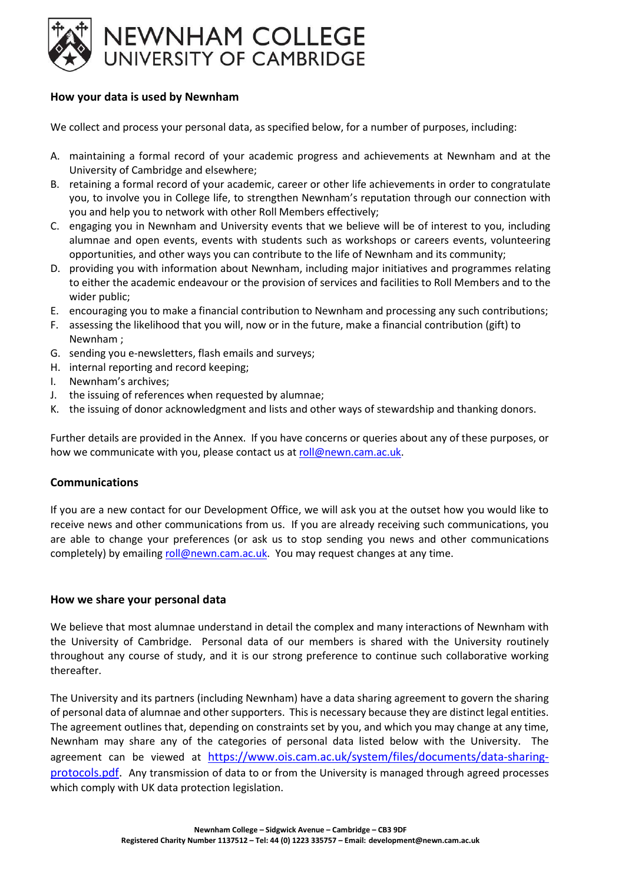

#### How your data is used by Newnham

We collect and process your personal data, as specified below, for a number of purposes, including:

- A. maintaining a formal record of your academic progress and achievements at Newnham and at the University of Cambridge and elsewhere;
- B. retaining a formal record of your academic, career or other life achievements in order to congratulate you, to involve you in College life, to strengthen Newnham's reputation through our connection with you and help you to network with other Roll Members effectively;
- C. engaging you in Newnham and University events that we believe will be of interest to you, including alumnae and open events, events with students such as workshops or careers events, volunteering opportunities, and other ways you can contribute to the life of Newnham and its community;
- D. providing you with information about Newnham, including major initiatives and programmes relating to either the academic endeavour or the provision of services and facilities to Roll Members and to the wider public;
- E. encouraging you to make a financial contribution to Newnham and processing any such contributions;
- F. assessing the likelihood that you will, now or in the future, make a financial contribution (gift) to Newnham ;
- G. sending you e-newsletters, flash emails and surveys;
- H. internal reporting and record keeping;
- I. Newnham's archives;
- J. the issuing of references when requested by alumnae;
- K. the issuing of donor acknowledgment and lists and other ways of stewardship and thanking donors.

Further details are provided in the Annex. If you have concerns or queries about any of these purposes, or how we communicate with you, please contact us at roll@newn.cam.ac.uk.

#### Communications

If you are a new contact for our Development Office, we will ask you at the outset how you would like to receive news and other communications from us. If you are already receiving such communications, you are able to change your preferences (or ask us to stop sending you news and other communications completely) by emailing roll@newn.cam.ac.uk. You may request changes at any time.

#### How we share your personal data

We believe that most alumnae understand in detail the complex and many interactions of Newnham with the University of Cambridge. Personal data of our members is shared with the University routinely throughout any course of study, and it is our strong preference to continue such collaborative working thereafter.

The University and its partners (including Newnham) have a data sharing agreement to govern the sharing of personal data of alumnae and other supporters. This is necessary because they are distinct legal entities. The agreement outlines that, depending on constraints set by you, and which you may change at any time, Newnham may share any of the categories of personal data listed below with the University. The agreement can be viewed at https://www.ois.cam.ac.uk/system/files/documents/data-sharingprotocols.pdf. Any transmission of data to or from the University is managed through agreed processes which comply with UK data protection legislation.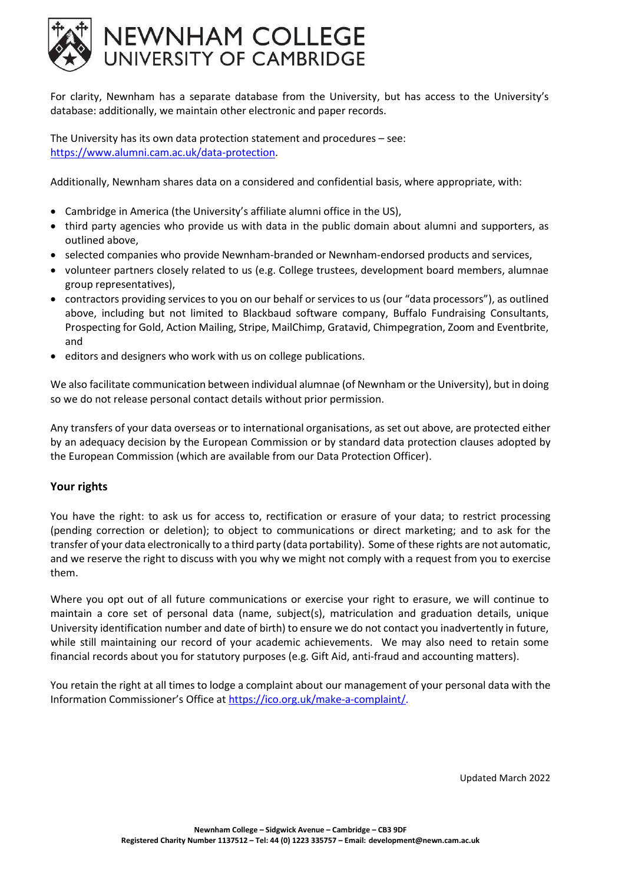

For clarity, Newnham has a separate database from the University, but has access to the University's database: additionally, we maintain other electronic and paper records.

The University has its own data protection statement and procedures – see: https://www.alumni.cam.ac.uk/data-protection.

Additionally, Newnham shares data on a considered and confidential basis, where appropriate, with:

- Cambridge in America (the University's affiliate alumni office in the US),
- third party agencies who provide us with data in the public domain about alumni and supporters, as outlined above,
- selected companies who provide Newnham-branded or Newnham-endorsed products and services,
- volunteer partners closely related to us (e.g. College trustees, development board members, alumnae group representatives),
- contractors providing services to you on our behalf or services to us (our "data processors"), as outlined above, including but not limited to Blackbaud software company, Buffalo Fundraising Consultants, Prospecting for Gold, Action Mailing, Stripe, MailChimp, Gratavid, Chimpegration, Zoom and Eventbrite, and
- editors and designers who work with us on college publications.

We also facilitate communication between individual alumnae (of Newnham or the University), but in doing so we do not release personal contact details without prior permission.

Any transfers of your data overseas or to international organisations, as set out above, are protected either by an adequacy decision by the European Commission or by standard data protection clauses adopted by the European Commission (which are available from our Data Protection Officer).

#### Your rights

You have the right: to ask us for access to, rectification or erasure of your data; to restrict processing (pending correction or deletion); to object to communications or direct marketing; and to ask for the transfer of your data electronically to a third party (data portability). Some of these rights are not automatic, and we reserve the right to discuss with you why we might not comply with a request from you to exercise them.

Where you opt out of all future communications or exercise your right to erasure, we will continue to maintain a core set of personal data (name, subject(s), matriculation and graduation details, unique University identification number and date of birth) to ensure we do not contact you inadvertently in future, while still maintaining our record of your academic achievements. We may also need to retain some financial records about you for statutory purposes (e.g. Gift Aid, anti-fraud and accounting matters).

You retain the right at all times to lodge a complaint about our management of your personal data with the Information Commissioner's Office at https://ico.org.uk/make-a-complaint/.

Updated March 2022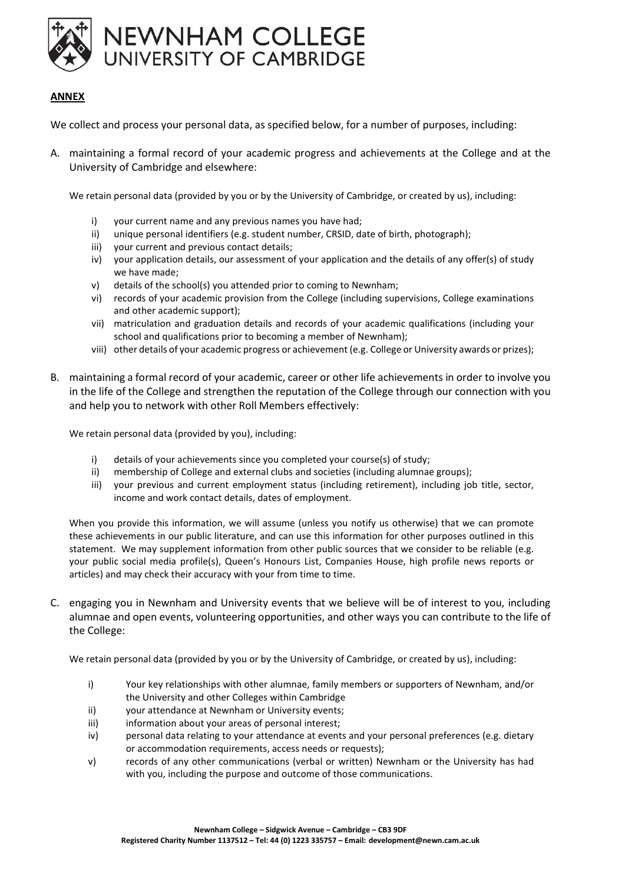

#### ANNEX

We collect and process your personal data, as specified below, for a number of purposes, including:

A. maintaining a formal record of your academic progress and achievements at the College and at the University of Cambridge and elsewhere:

We retain personal data (provided by you or by the University of Cambridge, or created by us), including:

- i) your current name and any previous names you have had;
- ii) unique personal identifiers (e.g. student number, CRSID, date of birth, photograph);
- iii) your current and previous contact details;
- iv) your application details, our assessment of your application and the details of any offer(s) of study we have made;
- v) details of the school(s) you attended prior to coming to Newnham;
- vi) records of your academic provision from the College (including supervisions, College examinations and other academic support);
- vii) matriculation and graduation details and records of your academic qualifications (including your school and qualifications prior to becoming a member of Newnham);
- viii) other details of your academic progress or achievement (e.g. College or University awards or prizes);
- B. maintaining a formal record of your academic, career or other life achievements in order to involve you in the life of the College and strengthen the reputation of the College through our connection with you and help you to network with other Roll Members effectively:

We retain personal data (provided by you), including:

- i) details of your achievements since you completed your course(s) of study;
- ii) membership of College and external clubs and societies (including alumnae groups);
- iii) your previous and current employment status (including retirement), including job title, sector, income and work contact details, dates of employment.

When you provide this information, we will assume (unless you notify us otherwise) that we can promote these achievements in our public literature, and can use this information for other purposes outlined in this statement. We may supplement information from other public sources that we consider to be reliable (e.g. your public social media profile(s), Queen's Honours List, Companies House, high profile news reports or articles) and may check their accuracy with your from time to time.

C. engaging you in Newnham and University events that we believe will be of interest to you, including alumnae and open events, volunteering opportunities, and other ways you can contribute to the life of the College:

We retain personal data (provided by you or by the University of Cambridge, or created by us), including:

- i) Your key relationships with other alumnae, family members or supporters of Newnham, and/or the University and other Colleges within Cambridge
- ii) your attendance at Newnham or University events;
- iii) iii) information about your areas of personal interest;
- iv) personal data relating to your attendance at events and your personal preferences (e.g. dietary or accommodation requirements, access needs or requests);
- v) records of any other communications (verbal or written) Newnham or the University has had with you, including the purpose and outcome of those communications.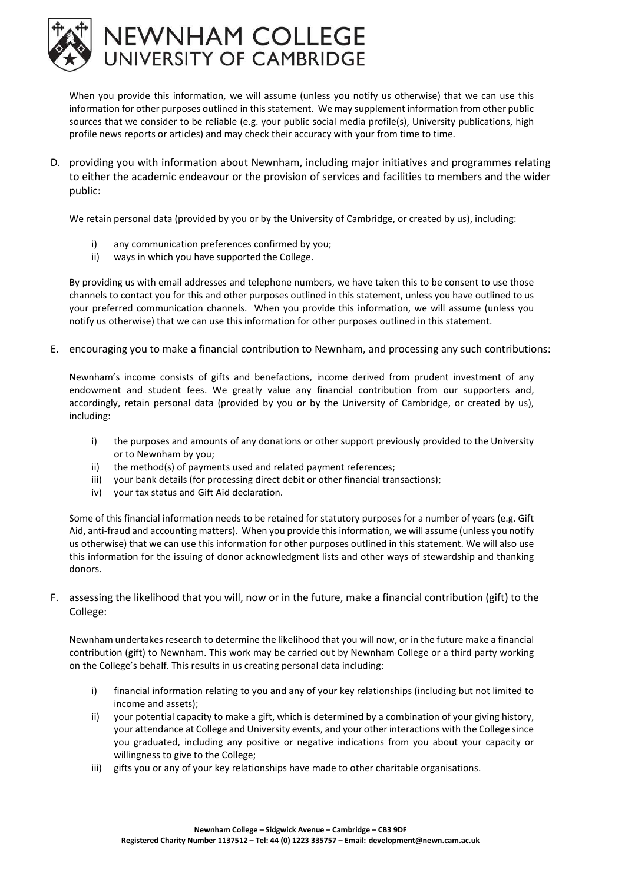

When you provide this information, we will assume (unless you notify us otherwise) that we can use this information for other purposes outlined in this statement. We may supplement information from other public sources that we consider to be reliable (e.g. your public social media profile(s), University publications, high profile news reports or articles) and may check their accuracy with your from time to time.

D. providing you with information about Newnham, including major initiatives and programmes relating to either the academic endeavour or the provision of services and facilities to members and the wider public:

We retain personal data (provided by you or by the University of Cambridge, or created by us), including:

- i) any communication preferences confirmed by you;
- ii) ways in which you have supported the College.

By providing us with email addresses and telephone numbers, we have taken this to be consent to use those channels to contact you for this and other purposes outlined in this statement, unless you have outlined to us your preferred communication channels. When you provide this information, we will assume (unless you notify us otherwise) that we can use this information for other purposes outlined in this statement.

E. encouraging you to make a financial contribution to Newnham, and processing any such contributions:

Newnham's income consists of gifts and benefactions, income derived from prudent investment of any endowment and student fees. We greatly value any financial contribution from our supporters and, accordingly, retain personal data (provided by you or by the University of Cambridge, or created by us), including:

- i) the purposes and amounts of any donations or other support previously provided to the University or to Newnham by you;
- ii) the method(s) of payments used and related payment references;
- iii) your bank details (for processing direct debit or other financial transactions);
- iv) your tax status and Gift Aid declaration.

Some of this financial information needs to be retained for statutory purposes for a number of years (e.g. Gift Aid, anti-fraud and accounting matters). When you provide this information, we will assume (unless you notify us otherwise) that we can use this information for other purposes outlined in this statement. We will also use this information for the issuing of donor acknowledgment lists and other ways of stewardship and thanking donors.

F. assessing the likelihood that you will, now or in the future, make a financial contribution (gift) to the College:

Newnham undertakes research to determine the likelihood that you will now, or in the future make a financial contribution (gift) to Newnham. This work may be carried out by Newnham College or a third party working on the College's behalf. This results in us creating personal data including:

- i) financial information relating to you and any of your key relationships (including but not limited to income and assets);
- ii) your potential capacity to make a gift, which is determined by a combination of your giving history, your attendance at College and University events, and your other interactions with the College since you graduated, including any positive or negative indications from you about your capacity or willingness to give to the College;
- iii) gifts you or any of your key relationships have made to other charitable organisations.